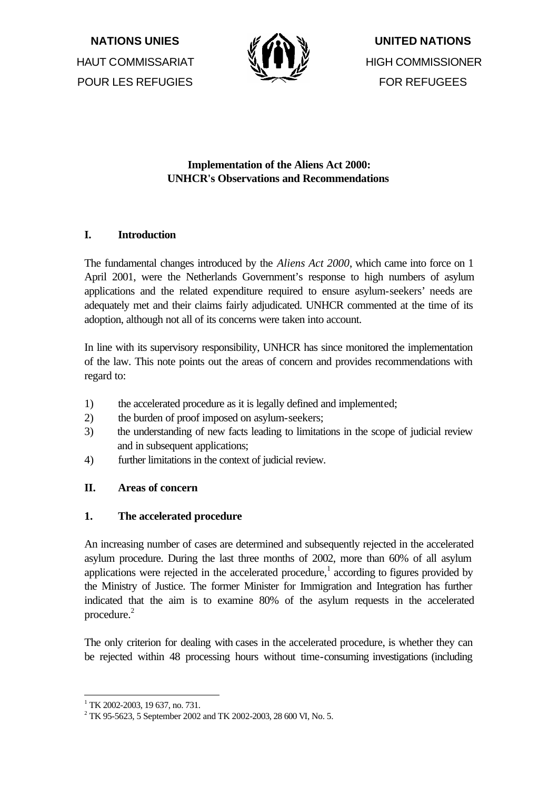**NATIONS UNIES** HAUT COMMISSARIAT POUR LES REFUGIES



**UNITED NATIONS** HIGH COMMISSIONER FOR REFUGEES

# **Implementation of the Aliens Act 2000: UNHCR's Observations and Recommendations**

## **I. Introduction**

The fundamental changes introduced by the *Aliens Act 2000*, which came into force on 1 April 2001, were the Netherlands Government's response to high numbers of asylum applications and the related expenditure required to ensure asylum-seekers' needs are adequately met and their claims fairly adjudicated. UNHCR commented at the time of its adoption, although not all of its concerns were taken into account.

In line with its supervisory responsibility, UNHCR has since monitored the implementation of the law. This note points out the areas of concern and provides recommendations with regard to:

- 1) the accelerated procedure as it is legally defined and implemented;
- 2) the burden of proof imposed on asylum-seekers;
- 3) the understanding of new facts leading to limitations in the scope of judicial review and in subsequent applications;
- 4) further limitations in the context of judicial review.

# **II. Areas of concern**

### **1. The accelerated procedure**

An increasing number of cases are determined and subsequently rejected in the accelerated asylum procedure. During the last three months of 2002, more than 60% of all asylum applications were rejected in the accelerated procedure,<sup>1</sup> according to figures provided by the Ministry of Justice. The former Minister for Immigration and Integration has further indicated that the aim is to examine 80% of the asylum requests in the accelerated procedure.<sup>2</sup>

The only criterion for dealing with cases in the accelerated procedure, is whether they can be rejected within 48 processing hours without time-consuming investigations (including

<sup>&</sup>lt;sup>1</sup> TK 2002-2003, 19 637, no. 731.

 $^{2}$  TK 95-5623, 5 September 2002 and TK 2002-2003, 28 600 VI, No. 5.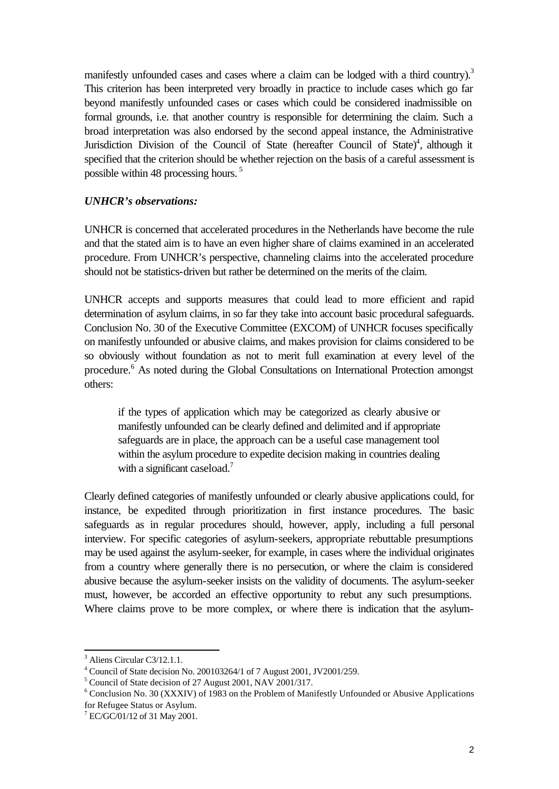manifestly unfounded cases and cases where a claim can be lodged with a third country).<sup>3</sup> This criterion has been interpreted very broadly in practice to include cases which go far beyond manifestly unfounded cases or cases which could be considered inadmissible on formal grounds, i.e. that another country is responsible for determining the claim. Such a broad interpretation was also endorsed by the second appeal instance, the Administrative Jurisdiction Division of the Council of State (hereafter Council of State)<sup>4</sup>, although it specified that the criterion should be whether rejection on the basis of a careful assessment is possible within 48 processing hours. <sup>5</sup>

#### *UNHCR's observations:*

UNHCR is concerned that accelerated procedures in the Netherlands have become the rule and that the stated aim is to have an even higher share of claims examined in an accelerated procedure. From UNHCR's perspective, channeling claims into the accelerated procedure should not be statistics-driven but rather be determined on the merits of the claim.

UNHCR accepts and supports measures that could lead to more efficient and rapid determination of asylum claims, in so far they take into account basic procedural safeguards. Conclusion No. 30 of the Executive Committee (EXCOM) of UNHCR focuses specifically on manifestly unfounded or abusive claims, and makes provision for claims considered to be so obviously without foundation as not to merit full examination at every level of the procedure.<sup>6</sup> As noted during the Global Consultations on International Protection amongst others:

if the types of application which may be categorized as clearly abusive or manifestly unfounded can be clearly defined and delimited and if appropriate safeguards are in place, the approach can be a useful case management tool within the asylum procedure to expedite decision making in countries dealing with a significant caseload.<sup>7</sup>

Clearly defined categories of manifestly unfounded or clearly abusive applications could, for instance, be expedited through prioritization in first instance procedures. The basic safeguards as in regular procedures should, however, apply, including a full personal interview. For specific categories of asylum-seekers, appropriate rebuttable presumptions may be used against the asylum-seeker, for example, in cases where the individual originates from a country where generally there is no persecution, or where the claim is considered abusive because the asylum-seeker insists on the validity of documents. The asylum-seeker must, however, be accorded an effective opportunity to rebut any such presumptions. Where claims prove to be more complex, or where there is indication that the asylum-

<sup>&</sup>lt;sup>3</sup> Aliens Circular C3/12.1.1.

<sup>4</sup> Council of State decision No. 200103264/1 of 7 August 2001, JV2001/259.

<sup>&</sup>lt;sup>5</sup> Council of State decision of 27 August 2001, NAV 2001/317.

<sup>&</sup>lt;sup>6</sup> Conclusion No. 30 (XXXIV) of 1983 on the Problem of Manifestly Unfounded or Abusive Applications for Refugee Status or Asylum.

<sup>7</sup> EC/GC/01/12 of 31 May 2001.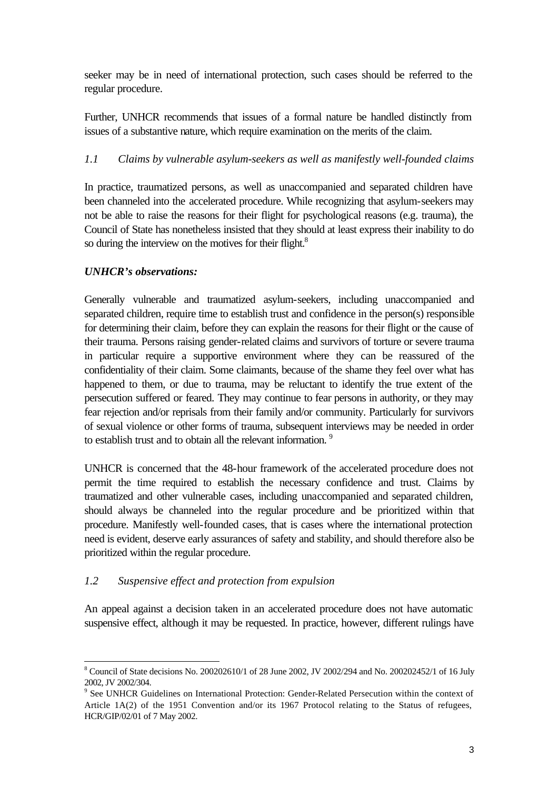seeker may be in need of international protection, such cases should be referred to the regular procedure.

Further, UNHCR recommends that issues of a formal nature be handled distinctly from issues of a substantive nature, which require examination on the merits of the claim.

## *1.1 Claims by vulnerable asylum-seekers as well as manifestly well-founded claims*

In practice, traumatized persons, as well as unaccompanied and separated children have been channeled into the accelerated procedure. While recognizing that asylum-seekers may not be able to raise the reasons for their flight for psychological reasons (e.g. trauma), the Council of State has nonetheless insisted that they should at least express their inability to do so during the interview on the motives for their flight.<sup>8</sup>

### *UNHCR's observations:*

Generally vulnerable and traumatized asylum-seekers, including unaccompanied and separated children, require time to establish trust and confidence in the person(s) responsible for determining their claim, before they can explain the reasons for their flight or the cause of their trauma. Persons raising gender-related claims and survivors of torture or severe trauma in particular require a supportive environment where they can be reassured of the confidentiality of their claim. Some claimants, because of the shame they feel over what has happened to them, or due to trauma, may be reluctant to identify the true extent of the persecution suffered or feared. They may continue to fear persons in authority, or they may fear rejection and/or reprisals from their family and/or community. Particularly for survivors of sexual violence or other forms of trauma, subsequent interviews may be needed in order to establish trust and to obtain all the relevant information.<sup>9</sup>

UNHCR is concerned that the 48-hour framework of the accelerated procedure does not permit the time required to establish the necessary confidence and trust. Claims by traumatized and other vulnerable cases, including unaccompanied and separated children, should always be channeled into the regular procedure and be prioritized within that procedure. Manifestly well-founded cases, that is cases where the international protection need is evident, deserve early assurances of safety and stability, and should therefore also be prioritized within the regular procedure.

### *1.2 Suspensive effect and protection from expulsion*

An appeal against a decision taken in an accelerated procedure does not have automatic suspensive effect, although it may be requested. In practice, however, different rulings have

<sup>&</sup>lt;sup>8</sup> Council of State decisions No. 200202610/1 of 28 June 2002, JV 2002/294 and No. 200202452/1 of 16 July 2002, JV 2002/304.

<sup>&</sup>lt;sup>9</sup> See UNHCR Guidelines on International Protection: Gender-Related Persecution within the context of Article 1A(2) of the 1951 Convention and/or its 1967 Protocol relating to the Status of refugees, HCR/GIP/02/01 of 7 May 2002.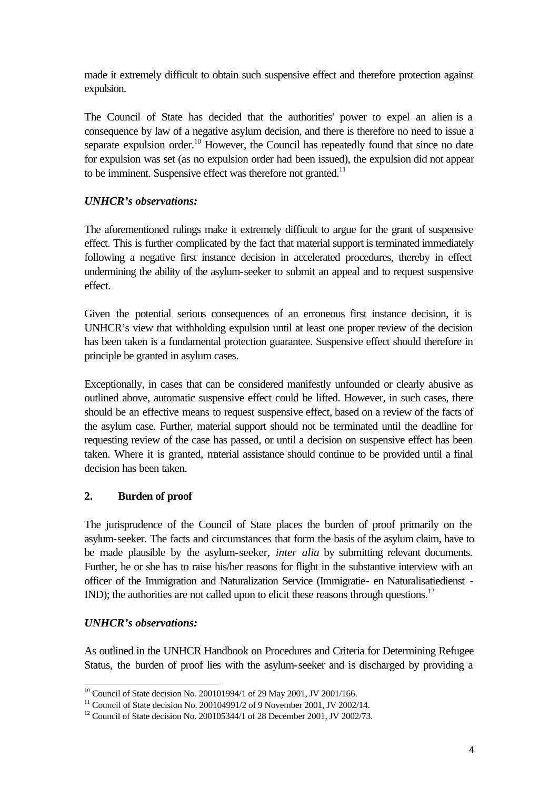made it extremely difficult to obtain such suspensive effect and therefore protection against expulsion.

The Council of State has decided that the authorities' power to expel an alien is a consequence by law of a negative asylum decision, and there is therefore no need to issue a separate expulsion order.<sup>10</sup> However, the Council has repeatedly found that since no date for expulsion was set (as no expulsion order had been issued), the expulsion did not appear to be imminent. Suspensive effect was therefore not granted.<sup>11</sup>

## *UNHCR's observations:*

The aforementioned rulings make it extremely difficult to argue for the grant of suspensive effect. This is further complicated by the fact that material support is terminated immediately following a negative first instance decision in accelerated procedures, thereby in effect undermining the ability of the asylum-seeker to submit an appeal and to request suspensive effect.

Given the potential serious consequences of an erroneous first instance decision, it is UNHCR's view that withholding expulsion until at least one proper review of the decision has been taken is a fundamental protection guarantee. Suspensive effect should therefore in principle be granted in asylum cases.

Exceptionally, in cases that can be considered manifestly unfounded or clearly abusive as outlined above, automatic suspensive effect could be lifted. However, in such cases, there should be an effective means to request suspensive effect, based on a review of the facts of the asylum case. Further, material support should not be terminated until the deadline for requesting review of the case has passed, or until a decision on suspensive effect has been taken. Where it is granted, material assistance should continue to be provided until a final decision has been taken.

# **2. Burden of proof**

The jurisprudence of the Council of State places the burden of proof primarily on the asylum-seeker. The facts and circumstances that form the basis of the asylum claim, have to be made plausible by the asylum-seeker, *inter alia* by submitting relevant documents. Further, he or she has to raise his/her reasons for flight in the substantive interview with an officer of the Immigration and Naturalization Service (Immigratie- en Naturalisatiedienst - IND); the authorities are not called upon to elicit these reasons through questions.<sup>12</sup>

### *UNHCR's observations:*

As outlined in the UNHCR Handbook on Procedures and Criteria for Determining Refugee Status, the burden of proof lies with the asylum-seeker and is discharged by providing a

<sup>&</sup>lt;sup>10</sup> Council of State decision No. 200101994/1 of 29 May 2001, JV 2001/166.

<sup>&</sup>lt;sup>11</sup> Council of State decision No. 200104991/2 of 9 November 2001, JV 2002/14.

<sup>&</sup>lt;sup>12</sup> Council of State decision No. 200105344/1 of 28 December 2001, JV 2002/73.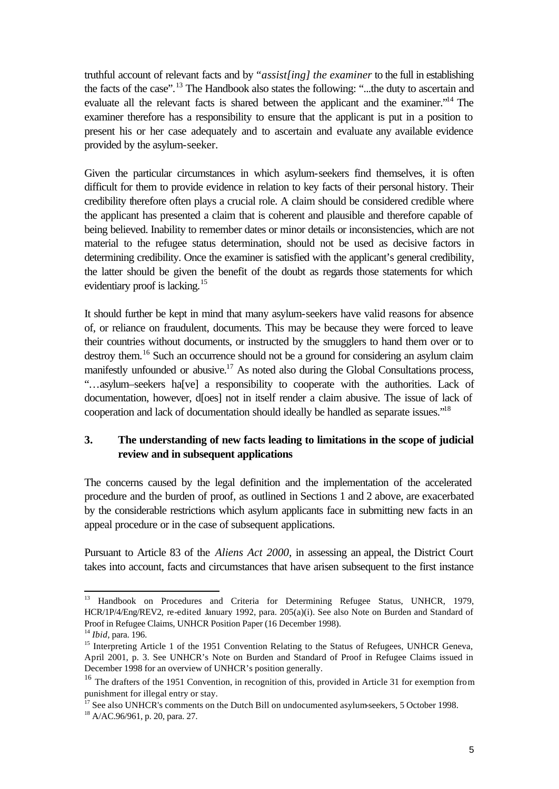truthful account of relevant facts and by *"assist[ing] the examiner* to the full in establishing the facts of the case".<sup>13</sup> The Handbook also states the following: "...the duty to ascertain and evaluate all the relevant facts is shared between the applicant and the examiner."<sup>14</sup> The examiner therefore has a responsibility to ensure that the applicant is put in a position to present his or her case adequately and to ascertain and evaluate any available evidence provided by the asylum-seeker.

Given the particular circumstances in which asylum-seekers find themselves, it is often difficult for them to provide evidence in relation to key facts of their personal history. Their credibility therefore often plays a crucial role. A claim should be considered credible where the applicant has presented a claim that is coherent and plausible and therefore capable of being believed. Inability to remember dates or minor details or inconsistencies, which are not material to the refugee status determination, should not be used as decisive factors in determining credibility. Once the examiner is satisfied with the applicant's general credibility, the latter should be given the benefit of the doubt as regards those statements for which evidentiary proof is lacking.<sup>15</sup>

It should further be kept in mind that many asylum-seekers have valid reasons for absence of, or reliance on fraudulent, documents. This may be because they were forced to leave their countries without documents, or instructed by the smugglers to hand them over or to destroy them.<sup>16</sup> Such an occurrence should not be a ground for considering an asylum claim manifestly unfounded or abusive.<sup>17</sup> As noted also during the Global Consultations process, "…asylum–seekers ha[ve] a responsibility to cooperate with the authorities. Lack of documentation, however, d[oes] not in itself render a claim abusive. The issue of lack of cooperation and lack of documentation should ideally be handled as separate issues."<sup>18</sup>

## **3. The understanding of new facts leading to limitations in the scope of judicial review and in subsequent applications**

The concerns caused by the legal definition and the implementation of the accelerated procedure and the burden of proof, as outlined in Sections 1 and 2 above, are exacerbated by the considerable restrictions which asylum applicants face in submitting new facts in an appeal procedure or in the case of subsequent applications.

Pursuant to Article 83 of the *Aliens Act 2000*, in assessing an appeal, the District Court takes into account, facts and circumstances that have arisen subsequent to the first instance

<sup>&</sup>lt;sup>13</sup> Handbook on Procedures and Criteria for Determining Refugee Status, UNHCR, 1979, HCR/1P/4/Eng/REV2, re-edited January 1992, para. 205(a)(i). See also Note on Burden and Standard of Proof in Refugee Claims, UNHCR Position Paper (16 December 1998).

<sup>14</sup> *Ibid*, para. 196.

<sup>&</sup>lt;sup>15</sup> Interpreting Article 1 of the 1951 Convention Relating to the Status of Refugees, UNHCR Geneva, April 2001, p. 3. See UNHCR's Note on Burden and Standard of Proof in Refugee Claims issued in December 1998 for an overview of UNHCR's position generally.

<sup>&</sup>lt;sup>16</sup> The drafters of the 1951 Convention, in recognition of this, provided in Article 31 for exemption from punishment for illegal entry or stay.

 $\frac{17}{17}$  See also UNHCR's comments on the Dutch Bill on undocumented asylum-seekers, 5 October 1998.

 $18$  A/AC.96/961, p. 20, para. 27.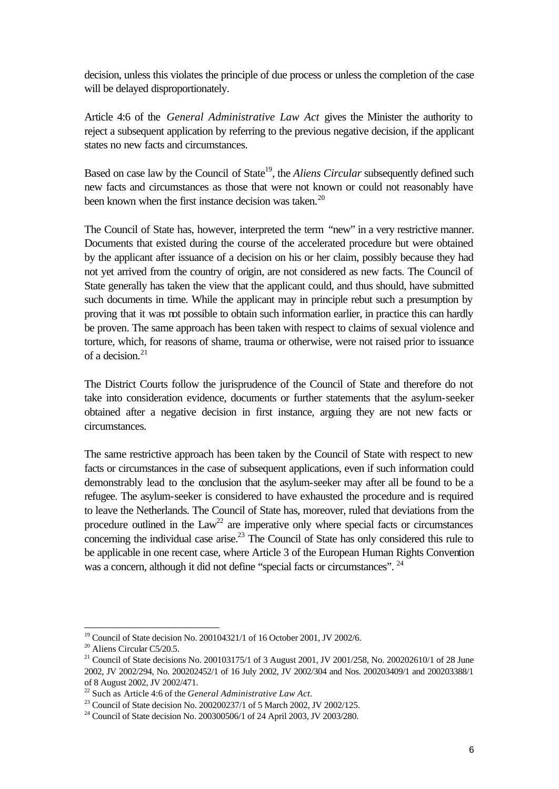decision, unless this violates the principle of due process or unless the completion of the case will be delayed disproportionately.

Article 4:6 of the *General Administrative Law Act* gives the Minister the authority to reject a subsequent application by referring to the previous negative decision, if the applicant states no new facts and circumstances.

Based on case law by the Council of State<sup>19</sup>, the *Aliens Circular* subsequently defined such new facts and circumstances as those that were not known or could not reasonably have been known when the first instance decision was taken.<sup>20</sup>

The Council of State has, however, interpreted the term "new" in a very restrictive manner. Documents that existed during the course of the accelerated procedure but were obtained by the applicant after issuance of a decision on his or her claim, possibly because they had not yet arrived from the country of origin, are not considered as new facts. The Council of State generally has taken the view that the applicant could, and thus should, have submitted such documents in time. While the applicant may in principle rebut such a presumption by proving that it was not possible to obtain such information earlier, in practice this can hardly be proven. The same approach has been taken with respect to claims of sexual violence and torture, which, for reasons of shame, trauma or otherwise, were not raised prior to issuance of a decision  $21$ 

The District Courts follow the jurisprudence of the Council of State and therefore do not take into consideration evidence, documents or further statements that the asylum-seeker obtained after a negative decision in first instance, arguing they are not new facts or circumstances.

The same restrictive approach has been taken by the Council of State with respect to new facts or circumstances in the case of subsequent applications, even if such information could demonstrably lead to the conclusion that the asylum-seeker may after all be found to be a refugee. The asylum-seeker is considered to have exhausted the procedure and is required to leave the Netherlands. The Council of State has, moreover, ruled that deviations from the procedure outlined in the  $Law^{22}$  are imperative only where special facts or circumstances concerning the individual case arise.<sup>23</sup> The Council of State has only considered this rule to be applicable in one recent case, where Article 3 of the European Human Rights Convention was a concern, although it did not define "special facts or circumstances". <sup>24</sup>

<sup>&</sup>lt;sup>19</sup> Council of State decision No. 200104321/1 of 16 October 2001, JV 2002/6.

<sup>&</sup>lt;sup>20</sup> Aliens Circular C5/20.5.

<sup>&</sup>lt;sup>21</sup> Council of State decisions No. 200103175/1 of 3 August 2001, JV 2001/258, No. 200202610/1 of 28 June 2002, JV 2002/294, No. 200202452/1 of 16 July 2002, JV 2002/304 and Nos. 200203409/1 and 200203388/1 of 8 August 2002, JV 2002/471.

<sup>22</sup> Such as Article 4:6 of the *General Administrative Law Act*.

<sup>23</sup> Council of State decision No. 200200237/1 of 5 March 2002, JV 2002/125.

<sup>&</sup>lt;sup>24</sup> Council of State decision No. 200300506/1 of 24 April 2003, JV 2003/280.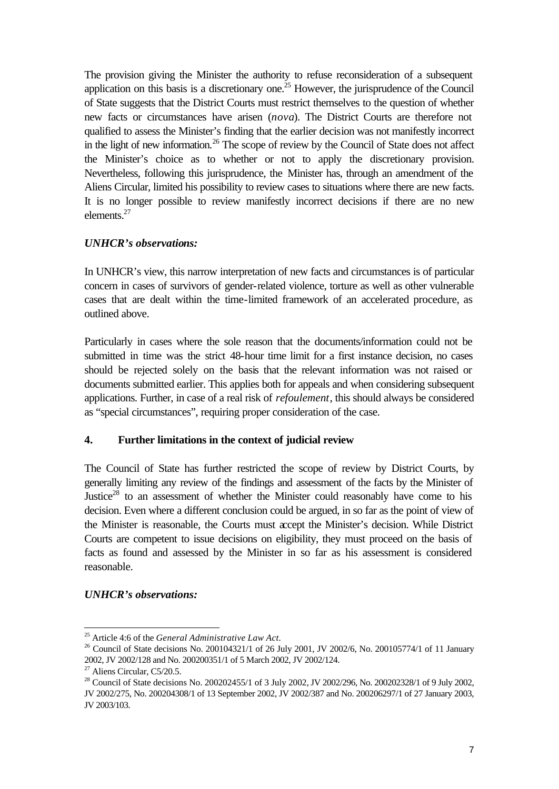The provision giving the Minister the authority to refuse reconsideration of a subsequent application on this basis is a discretionary one.<sup>25</sup> However, the jurisprudence of the Council of State suggests that the District Courts must restrict themselves to the question of whether new facts or circumstances have arisen (*nova*). The District Courts are therefore not qualified to assess the Minister's finding that the earlier decision was not manifestly incorrect in the light of new information.<sup>26</sup> The scope of review by the Council of State does not affect the Minister's choice as to whether or not to apply the discretionary provision. Nevertheless, following this jurisprudence, the Minister has, through an amendment of the Aliens Circular, limited his possibility to review cases to situations where there are new facts. It is no longer possible to review manifestly incorrect decisions if there are no new elements.<sup>27</sup>

## *UNHCR's observations:*

In UNHCR's view, this narrow interpretation of new facts and circumstances is of particular concern in cases of survivors of gender-related violence, torture as well as other vulnerable cases that are dealt within the time-limited framework of an accelerated procedure, as outlined above.

Particularly in cases where the sole reason that the documents/information could not be submitted in time was the strict 48-hour time limit for a first instance decision, no cases should be rejected solely on the basis that the relevant information was not raised or documents submitted earlier. This applies both for appeals and when considering subsequent applications. Further, in case of a real risk of *refoulement*, this should always be considered as "special circumstances", requiring proper consideration of the case.

### **4. Further limitations in the context of judicial review**

The Council of State has further restricted the scope of review by District Courts, by generally limiting any review of the findings and assessment of the facts by the Minister of Justice<sup>28</sup> to an assessment of whether the Minister could reasonably have come to his decision. Even where a different conclusion could be argued, in so far as the point of view of the Minister is reasonable, the Courts must accept the Minister's decision. While District Courts are competent to issue decisions on eligibility, they must proceed on the basis of facts as found and assessed by the Minister in so far as his assessment is considered reasonable.

### *UNHCR's observations:*

<sup>25</sup> Article 4:6 of the *General Administrative Law Act.*

<sup>&</sup>lt;sup>26</sup> Council of State decisions No. 200104321/1 of 26 July 2001, JV 2002/6, No. 200105774/1 of 11 January 2002, JV 2002/128 and No. 200200351/1 of 5 March 2002, JV 2002/124.

<sup>&</sup>lt;sup>27</sup> Aliens Circular, C5/20.5.

<sup>&</sup>lt;sup>28</sup> Council of State decisions No. 200202455/1 of 3 July 2002, JV 2002/296, No. 200202328/1 of 9 July 2002, JV 2002/275, No. 200204308/1 of 13 September 2002, JV 2002/387 and No. 200206297/1 of 27 January 2003, JV 2003/103.